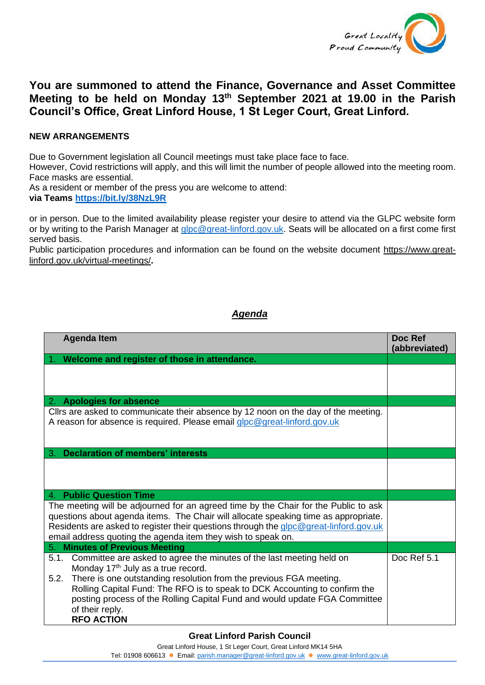

## **You are summoned to attend the Finance, Governance and Asset Committee Meeting to be held on Monday 13 th September 2021 at 19.00 in the Parish Council's Office, Great Linford House, 1 St Leger Court, Great Linford.**

## **NEW ARRANGEMENTS**

Due to Government legislation all Council meetings must take place face to face.

However, Covid restrictions will apply, and this will limit the number of people allowed into the meeting room. Face masks are essential.

As a resident or member of the press you are welcome to attend:

**via Teams <https://bit.ly/38NzL9R>**

or in person. Due to the limited availability please register your desire to attend via the GLPC website form or by writing to the Parish Manager at [glpc@great-linford.gov.uk.](mailto:glpc@great-linford.gov.uk) Seats will be allocated on a first come first served basis.

Public participation procedures and information can be found on the website document [https://www.great](https://www.great-linford.gov.uk/virtual-meetings/)[linford.gov.uk/virtual-meetings/](https://www.great-linford.gov.uk/virtual-meetings/)**.** 

## *Agenda*

| <b>Agenda Item</b>                                                                                                                                                                                                                                                                                                                                                                                         | Doc Ref<br>(abbreviated) |
|------------------------------------------------------------------------------------------------------------------------------------------------------------------------------------------------------------------------------------------------------------------------------------------------------------------------------------------------------------------------------------------------------------|--------------------------|
| Welcome and register of those in attendance.                                                                                                                                                                                                                                                                                                                                                               |                          |
|                                                                                                                                                                                                                                                                                                                                                                                                            |                          |
| 2. Apologies for absence                                                                                                                                                                                                                                                                                                                                                                                   |                          |
| Cllrs are asked to communicate their absence by 12 noon on the day of the meeting.<br>A reason for absence is required. Please email glpc@great-linford.gov.uk                                                                                                                                                                                                                                             |                          |
| <b>Declaration of members' interests</b><br>З.                                                                                                                                                                                                                                                                                                                                                             |                          |
|                                                                                                                                                                                                                                                                                                                                                                                                            |                          |
| <b>Public Question Time</b><br>4.                                                                                                                                                                                                                                                                                                                                                                          |                          |
| The meeting will be adjourned for an agreed time by the Chair for the Public to ask<br>questions about agenda items. The Chair will allocate speaking time as appropriate.<br>Residents are asked to register their questions through the glpc@great-linford.gov.uk<br>email address quoting the agenda item they wish to speak on.                                                                        |                          |
| <b>Minutes of Previous Meeting</b><br>5.                                                                                                                                                                                                                                                                                                                                                                   |                          |
| 5.1. Committee are asked to agree the minutes of the last meeting held on<br>Monday 17 <sup>th</sup> July as a true record.<br>5.2. There is one outstanding resolution from the previous FGA meeting.<br>Rolling Capital Fund: The RFO is to speak to DCK Accounting to confirm the<br>posting process of the Rolling Capital Fund and would update FGA Committee<br>of their reply.<br><b>RFO ACTION</b> | Doc Ref 5.1              |